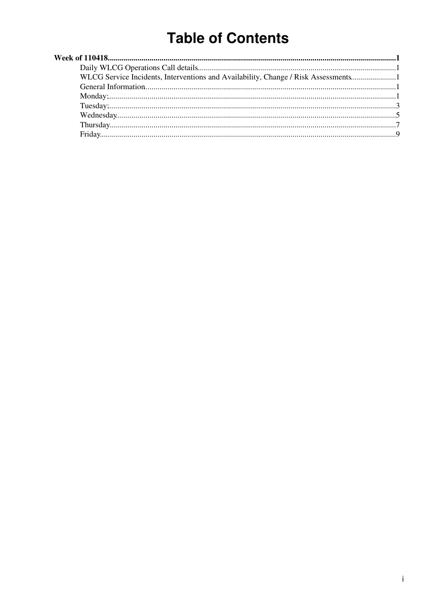# **Table of Contents**

| WLCG Service Incidents, Interventions and Availability, Change / Risk Assessments1 |  |
|------------------------------------------------------------------------------------|--|
|                                                                                    |  |
|                                                                                    |  |
|                                                                                    |  |
|                                                                                    |  |
|                                                                                    |  |
|                                                                                    |  |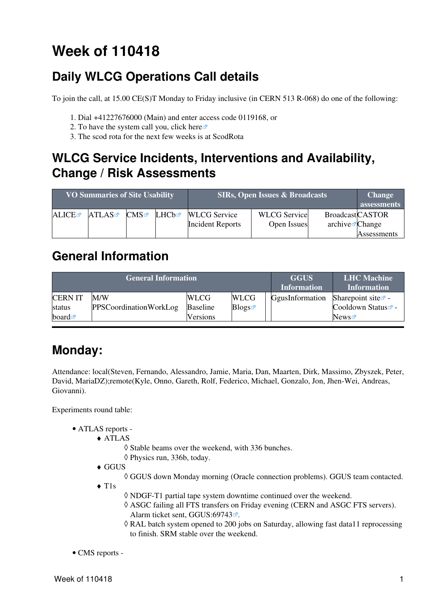# <span id="page-1-0"></span>**Week of 110418**

# <span id="page-1-1"></span>**Daily WLCG Operations Call details**

To join the call, at 15.00 CE(S)T Monday to Friday inclusive (in CERN 513 R-068) do one of the following:

- 1. Dial +41227676000 (Main) and enter access code 0119168, or
- 2. To have the system call you, click [here](https://audioconf.cern.ch/call/0119168) $\Phi$
- 3. The scod rota for the next few weeks is at [ScodRota](https://twiki.cern.ch/twiki/bin/view/LCG/ScodRota)

# <span id="page-1-2"></span>**WLCG Service Incidents, Interventions and Availability, Change / Risk Assessments**

| <b>VO Summaries of Site Usability</b> |       |     | <b>SIRs, Open Issues &amp; Broadcasts</b> | <b>Change</b><br>assessments |                     |                             |             |
|---------------------------------------|-------|-----|-------------------------------------------|------------------------------|---------------------|-----------------------------|-------------|
| ALICE                                 | ATLAS | CMS | LHCb☞                                     | <b>WLCG</b> Service          | <b>WLCG</b> Service | <b>BroadcastCASTOR</b>      |             |
|                                       |       |     |                                           | <b>Incident Reports</b>      | Open Issues         | archive $\mathbb{Z}$ Change |             |
|                                       |       |     |                                           |                              |                     |                             | Assessments |

# <span id="page-1-3"></span>**General Information**

|                      | <b>General Information</b> | <b>GGUS</b><br><b>Information</b> | <b>LHC</b> Machine<br><b>Information</b> |                 |                                |
|----------------------|----------------------------|-----------------------------------|------------------------------------------|-----------------|--------------------------------|
| <b>CERNIT</b>        | M/W                        | <b>WLCG</b>                       | <b>WLCG</b>                              | GgusInformation | Sharepoint site $\Phi$ -       |
| status               | PPSCoordinationWorkLog     | <b>Baseline</b>                   | Blogs                                    |                 | Cooldown Status <sup>®</sup> - |
| board $\blacksquare$ |                            | Versions                          |                                          |                 | News                           |

# <span id="page-1-4"></span>**Monday:**

Attendance: local(Steven, Fernando, Alessandro, Jamie, Maria, Dan, Maarten, Dirk, Massimo, Zbyszek, Peter, David, [MariaDZ](https://twiki.cern.ch/twiki/bin/edit/LCG/MariaDZ?topicparent=LCG.WLCGDailyMeetingsWeek110418;nowysiwyg=1));remote(Kyle, Onno, Gareth, Rolf, Federico, Michael, Gonzalo, Jon, Jhen-Wei, Andreas, Giovanni).

Experiments round table:

- ATLAS [reports](https://twiki.cern.ch/twiki/bin/view/Atlas/ADCOperationsDailyReports)  •
	- ATLAS ♦
		- ◊ Stable beams over the weekend, with 336 bunches.
		- ◊ Physics run, 336b, today.
	- GGUS ♦

◊ GGUS down Monday morning (Oracle connection problems). GGUS team contacted.

- T1s ♦
- ◊ NDGF-T1 partial tape system downtime continued over the weekend.
- ASGC failing all FTS transfers on Friday evening (CERN and ASGC FTS servers). ◊ Alarm ticket sent, [GGUS:69743](https://ggus.eu/ws/ticket_info.php?ticket=69743)<sup>®</sup>.
- [RAL](https://twiki.cern.ch/twiki/bin/view/LCG/RAL) batch system opened to 200 jobs on Saturday, allowing fast data11 reprocessing ◊ to finish. SRM stable over the weekend.
- CMS [reports](https://twiki.cern.ch/twiki/bin/view/CMS/FacOps_WLCGdailyreports) -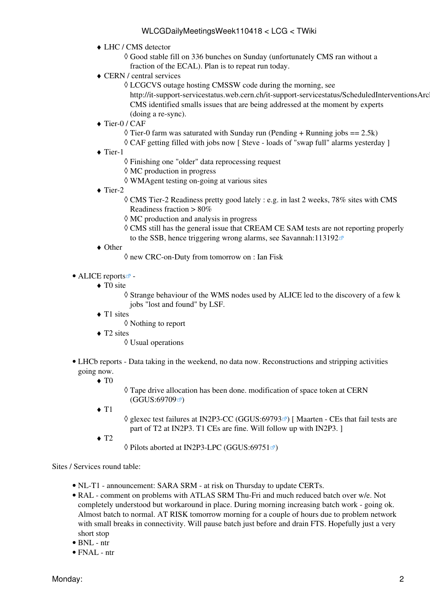- LHC / CMS detector ♦
	- Good stable fill on 336 bunches on Sunday (unfortunately CMS ran without a ◊ fraction of the ECAL). Plan is to repeat run today.
- CERN / central services ♦
	- LCGCVS outage hosting CMSSW code during the morning, see ◊ http://it-support-servicestatus.web.cern.ch/it-support-servicestatus/ScheduledInterventionsArc CMS identified smalls issues that are being addressed at the moment by experts (doing a re-sync).
- ◆ Tier-0 / CAF
	- $\Diamond$  Tier-0 farm was saturated with Sunday run (Pending + Running jobs == 2.5k)
	- ◊ CAF getting filled with jobs now [ Steve loads of "swap full" alarms yesterday ]
- ◆ Tier-1
	- ◊ Finishing one "older" data reprocessing request
	- ◊ MC production in progress
	- ◊ WMAgent testing on-going at various sites
- ◆ Tier-2
	- CMS Tier-2 Readiness pretty good lately : e.g. in last 2 weeks, 78% sites with CMS ◊ Readiness fraction > 80%
	- ◊ MC production and analysis in progress
	- CMS still has the general issue that [CREAM](https://twiki.cern.ch/twiki/bin/view/LCG/CREAM) CE SAM tests are not reporting properly ◊ to the SSB, hence triggering wrong alarms, see [Savannah:113192](https://savannah.cern.ch/support/?113192) $\blacktriangleright$
- Other ♦
- ◊ new CRC-on-Duty from tomorrow on : Ian Fisk
- ALICE [reports](http://alien2.cern.ch/index.php?option=com_content&view=article&id=75&Itemid=129)<sup>2</sup> -
	- ◆ TO site

Strange behaviour of the WMS nodes used by ALICE led to the discovery of a few k ◊ jobs "lost and found" by [LSF](https://twiki.cern.ch/twiki/bin/view/LCG/LSF).

- ◆ T1 sites
	- ◊ Nothing to report
- ◆ T2 sites
	- ◊ Usual operations
- LHCb [reports](https://twiki.cern.ch/twiki/bin/view/LHCb/ProductionOperationsWLCGdailyReports)  Data taking in the weekend, no data now. Reconstructions and stripping activities going now.
	- $\blacklozenge$  T<sub>0</sub>
- Tape drive allocation has been done. modification of space token at CERN ◊  $(GGUS:69709)$  $(GGUS:69709)$  $(GGUS:69709)$
- $\triangleleft$  T<sub>1</sub>
- $\Diamond$  glexec test failures at [IN2P3-](https://twiki.cern.ch/twiki/bin/view/LCG/IN2P3)CC [\(GGUS:69793](https://ggus.eu/ws/ticket_info.php?ticket=69793)ø) [ Maarten CEs that fail tests are part of T2 at [IN2P3](https://twiki.cern.ch/twiki/bin/view/LCG/IN2P3). T1 CEs are fine. Will follow up with [IN2P3](https://twiki.cern.ch/twiki/bin/view/LCG/IN2P3). ]
- $\triangleleft$  T<sub>2</sub>
- $\Diamond$  Pilots aborted at [IN2P3-](https://twiki.cern.ch/twiki/bin/view/LCG/IN2P3)LPC [\(GGUS:69751](https://ggus.eu/ws/ticket_info.php?ticket=69751) $\degree$ )

#### Sites / Services round table:

- NL-T1 announcement: SARA SRM at risk on Thursday to update CERTs.
- [RAL](https://twiki.cern.ch/twiki/bin/view/LCG/RAL) comment on problems with ATLAS SRM Thu-Fri and much reduced batch over w/e. Not completely understood but workaround in place. During morning increasing batch work - going ok. Almost batch to normal. AT RISK tomorrow morning for a couple of hours due to problem network with small breaks in connectivity. Will pause batch just before and drain FTS. Hopefully just a very short stop
- $\bullet$  BNL ntr
- FNAL ntr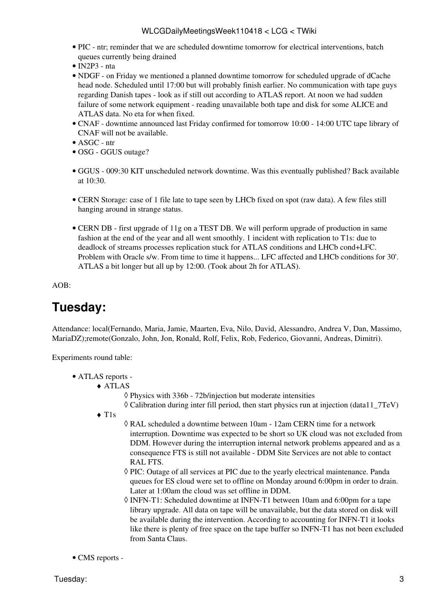- PIC ntr; reminder that we are scheduled downtime tomorrow for electrical interventions, batch queues currently being drained
- [IN2P3](https://twiki.cern.ch/twiki/bin/view/LCG/IN2P3)  nta
- NDGF on Friday we mentioned a planned downtime tomorrow for scheduled upgrade of dCache head node. Scheduled until 17:00 but will probably finish earlier. No communication with tape guys regarding Danish tapes - look as if still out according to ATLAS report. At noon we had sudden failure of some network equipment - reading unavailable both tape and disk for some ALICE and ATLAS data. No eta for when fixed.
- CNAF downtime announced last Friday confirmed for tomorrow 10:00 14:00 UTC tape library of CNAF will not be available.
- ASGC ntr
- OSG GGUS outage?
- GGUS 009:30 KIT unscheduled network downtime. Was this eventually published? Back available at 10:30.
- CERN Storage: case of 1 file late to tape seen by LHCb fixed on spot (raw data). A few files still hanging around in strange status.
- CERN DB first upgrade of 11g on a TEST DB. We will perform upgrade of production in same fashion at the end of the year and all went smoothly. 1 incident with replication to T1s: due to deadlock of streams processes replication stuck for ATLAS conditions and LHCb cond+LFC. Problem with Oracle s/w. From time to time it happens... LFC affected and LHCb conditions for 30'. ATLAS a bit longer but all up by 12:00. (Took about 2h for ATLAS).

AOB:

# <span id="page-3-0"></span>**Tuesday:**

Attendance: local(Fernando, Maria, Jamie, Maarten, Eva, Nilo, David, Alessandro, Andrea V, Dan, Massimo, [MariaDZ\)](https://twiki.cern.ch/twiki/bin/edit/LCG/MariaDZ?topicparent=LCG.WLCGDailyMeetingsWeek110418;nowysiwyg=1);remote(Gonzalo, John, Jon, Ronald, Rolf, Felix, Rob, Federico, Giovanni, Andreas, Dimitri).

Experiments round table:

- ATLAS [reports](https://twiki.cern.ch/twiki/bin/view/Atlas/ADCOperationsDailyReports)  •
	- ATLAS ♦
		- ◊ Physics with 336b 72b/injection but moderate intensities
		- $\Diamond$  Calibration during inter fill period, then start physics run at injection (data11  $7TeV$ )
	- T1s ♦
- [RAL](https://twiki.cern.ch/twiki/bin/view/LCG/RAL) scheduled a downtime between 10am 12am CERN time for a network ◊ interruption. Downtime was expected to be short so UK cloud was not excluded from DDM. However during the interruption internal network problems appeared and as a consequence FTS is still not available - DDM Site Services are not able to contact [RAL](https://twiki.cern.ch/twiki/bin/view/LCG/RAL) FTS.
- PIC: Outage of all services at PIC due to the yearly electrical maintenance. Panda ◊ queues for ES cloud were set to offline on Monday around 6:00pm in order to drain. Later at 1:00am the cloud was set offline in DDM.
- ◊ INFN-T1: Scheduled downtime at INFN-T1 between 10am and 6:00pm for a tape library upgrade. All data on tape will be unavailable, but the data stored on disk will be available during the intervention. According to accounting for INFN-T1 it looks like there is plenty of free space on the tape buffer so INFN-T1 has not been excluded from Santa Claus.
- CMS [reports](https://twiki.cern.ch/twiki/bin/view/CMS/FacOps_WLCGdailyreports) -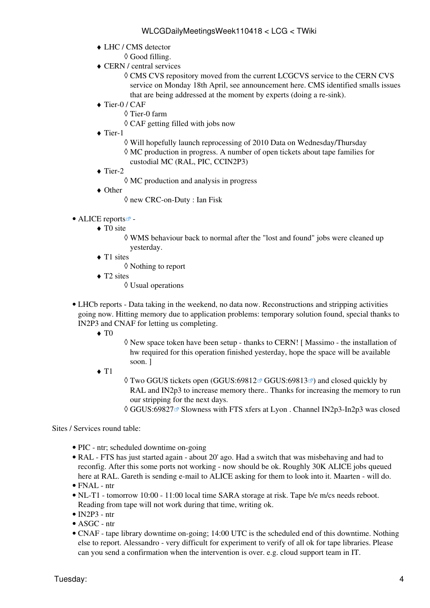- LHC / CMS detector ♦
	- ◊ Good filling.
- CERN / central services ♦
	- CMS CVS repository moved from the current LCGCVS service to the CERN CVS ◊ service on Monday 18th April, see announcement here. CMS identified smalls issues that are being addressed at the moment by experts (doing a re-sink).
- ◆ Tier-0 / CAF
	- ◊ Tier-0 farm
	- $\Diamond$  CAF getting filled with jobs now
- ◆ Tier-1
	- ◊ Will hopefully launch reprocessing of 2010 Data on Wednesday/Thursday
	- MC production in progress. A number of open tickets about tape families for ◊ custodial MC ([RAL](https://twiki.cern.ch/twiki/bin/view/LCG/RAL), PIC, [CCIN2P3\)](https://twiki.cern.ch/twiki/bin/edit/LCG/CCIN2P3?topicparent=LCG.WLCGDailyMeetingsWeek110418;nowysiwyg=1)
- ◆ Tier-2
	- ◊ MC production and analysis in progress
- Other ♦
	- ◊ new CRC-on-Duty : Ian Fisk
- ALICE [reports](http://alien2.cern.ch/index.php?option=com_content&view=article&id=75&Itemid=129)
	- ◆ TO site
		- WMS behaviour back to normal after the "lost and found" jobs were cleaned up ◊ yesterday.
	- ◆ T1 sites
		- ◊ Nothing to report
	- ◆ T2 sites
		- ◊ Usual operations
- LHCb [reports](https://twiki.cern.ch/twiki/bin/view/LHCb/ProductionOperationsWLCGdailyReports)  Data taking in the weekend, no data now. Reconstructions and stripping activities going now. Hitting memory due to application problems: temporary solution found, special thanks to [IN2P3](https://twiki.cern.ch/twiki/bin/view/LCG/IN2P3) and CNAF for letting us completing.
	- $\blacklozenge$  T<sub>0</sub>
- New space token have been setup thanks to CERN! [ Massimo the installation of ◊ hw required for this operation finished yesterday, hope the space will be available soon. ]
- $\triangleleft$  T<sub>1</sub>
- ◊ Two GGUS tickets open (GGUS:69812☞ [GGUS:69813](https://ggus.eu/ws/ticket_info.php?ticket=69813)☞) and closed quickly by [RAL](https://twiki.cern.ch/twiki/bin/view/LCG/RAL) and IN2p3 to increase memory there.. Thanks for increasing the memory to run our stripping for the next days.
- $\Diamond$  GGUS:69827 $\degree$  Slowness with FTS xfers at Lyon . Channel IN2p3-In2p3 was closed

Sites / Services round table:

- PIC ntr: scheduled downtime on-going
- [RAL](https://twiki.cern.ch/twiki/bin/view/LCG/RAL) FTS has just started again about 20' ago. Had a switch that was misbehaving and had to reconfig. After this some ports not working - now should be ok. Roughly 30K ALICE jobs queued here at [RAL](https://twiki.cern.ch/twiki/bin/view/LCG/RAL). Gareth is sending e-mail to ALICE asking for them to look into it. Maarten - will do.
- FNAL ntr
- NL-T1 tomorrow 10:00 11:00 local time SARA storage at risk. Tape b/e m/cs needs reboot. Reading from tape will not work during that time, writing ok.
- $\bullet$  [IN2P3](https://twiki.cern.ch/twiki/bin/view/LCG/IN2P3)  ntr
- ASGC ntr
- CNAF tape library downtime on-going; 14:00 UTC is the scheduled end of this downtime. Nothing else to report. Alessandro - very difficult for experiment to verify of all ok for tape libraries. Please can you send a confirmation when the intervention is over. e.g. cloud support team in IT.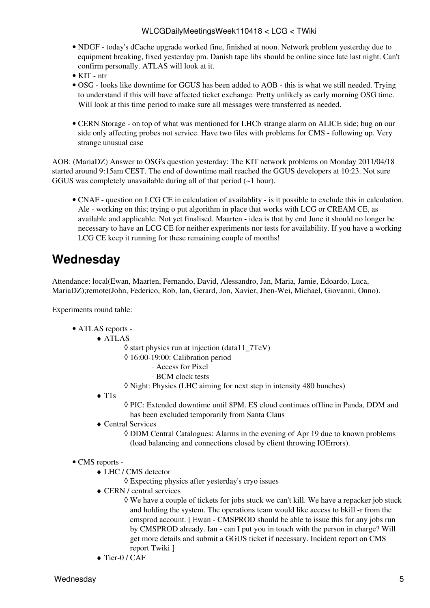- NDGF today's dCache upgrade worked fine, finished at noon. Network problem yesterday due to equipment breaking, fixed yesterday pm. Danish tape libs should be online since late last night. Can't confirm personally. ATLAS will look at it.
- KIT ntr
- OSG looks like downtime for GGUS has been added to AOB this is what we still needed. Trying to understand if this will have affected ticket exchange. Pretty unlikely as early morning OSG time. Will look at this time period to make sure all messages were transferred as needed.
- CERN Storage on top of what was mentioned for LHCb strange alarm on ALICE side; bug on our side only affecting probes not service. Have two files with problems for CMS - following up. Very strange unusual case

AOB: ([MariaDZ\)](https://twiki.cern.ch/twiki/bin/edit/LCG/MariaDZ?topicparent=LCG.WLCGDailyMeetingsWeek110418;nowysiwyg=1) Answer to OSG's question yesterday: The KIT network problems on Monday 2011/04/18 started around 9:15am CEST. The end of downtime mail reached the GGUS developers at 10:23. Not sure GGUS was completely unavailable during all of that period (~1 hour).

• CNAF - question on LCG CE in calculation of availablity - is it possible to exclude this in calculation. Ale - working on this; trying o put algorithm in place that works with LCG or [CREAM](https://twiki.cern.ch/twiki/bin/view/LCG/CREAM) CE, as available and applicable. Not yet finalised. Maarten - idea is that by end June it should no longer be necessary to have an LCG CE for neither experiments nor tests for availability. If you have a working LCG CE keep it running for these remaining couple of months!

# <span id="page-5-0"></span>**Wednesday**

Attendance: local(Ewan, Maarten, Fernando, David, Alessandro, Jan, Maria, Jamie, Edoardo, Luca, [MariaDZ\)](https://twiki.cern.ch/twiki/bin/edit/LCG/MariaDZ?topicparent=LCG.WLCGDailyMeetingsWeek110418;nowysiwyg=1);remote(John, Federico, Rob, Ian, Gerard, Jon, Xavier, Jhen-Wei, Michael, Giovanni, Onno).

Experiments round table:

## ATLAS [reports](https://twiki.cern.ch/twiki/bin/view/Atlas/ADCOperationsDailyReports) - •

- ATLAS ♦
	- $\Diamond$  start physics run at injection (data11\_7TeV)
	- 16:00-19:00: Calibration period ◊
		- ⋅ Access for Pixel
		- ⋅ BCM clock tests
	- ◊ Night: Physics (LHC aiming for next step in intensity 480 bunches)
	- T1s ♦
- PIC: Extended downtime until 8PM. ES cloud continues offline in Panda, DDM and ◊ has been excluded temporarily from Santa Claus
- Central Services ♦
	- DDM Central Catalogues: Alarms in the evening of Apr 19 due to known problems ◊ (load balancing and connections closed by client throwing IOErrors).

### • CMS [reports](https://twiki.cern.ch/twiki/bin/view/CMS/FacOps_WLCGdailyreports) -

- LHC / CMS detector ♦
	- ◊ Expecting physics after yesterday's cryo issues
- CERN / central services ♦
	- We have a couple of tickets for jobs stuck we can't kill. We have a repacker job stuck ◊ and holding the system. The operations team would like access to bkill -r from the cmsprod account. [ Ewan - CMSPROD should be able to issue this for any jobs run by CMSPROD already. Ian - can I put you in touch with the person in charge? Will get more details and submit a GGUS ticket if necessary. Incident report on CMS report Twiki ]
- ♦ Tier-0 / CAF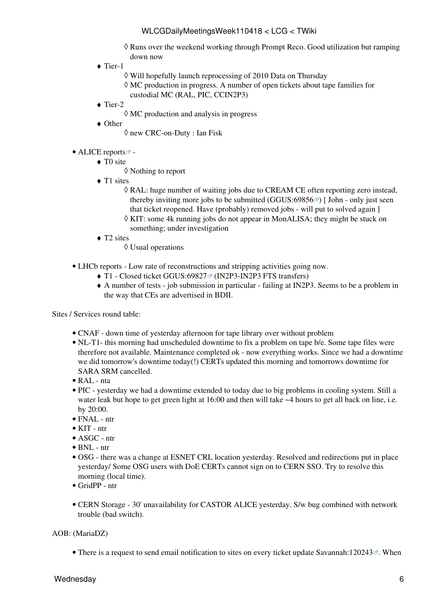- Runs over the weekend working through Prompt Reco. Good utilization but ramping ◊ down now
- ◆ Tier-1
	- ◊ Will hopefully launch reprocessing of 2010 Data on Thursday

MC production in progress. A number of open tickets about tape families for ◊ custodial MC ([RAL](https://twiki.cern.ch/twiki/bin/view/LCG/RAL), PIC, [CCIN2P3\)](https://twiki.cern.ch/twiki/bin/edit/LCG/CCIN2P3?topicparent=LCG.WLCGDailyMeetingsWeek110418;nowysiwyg=1)

- $\blacklozenge$  Tier-2
	- ◊ MC production and analysis in progress
- Other ♦

◊ new CRC-on-Duty : Ian Fisk

### • ALICE [reports](http://alien2.cern.ch/index.php?option=com_content&view=article&id=75&Itemid=129)

- ◆ TO site
	- ◊ Nothing to report
- ◆ T1 sites
	- [RAL](https://twiki.cern.ch/twiki/bin/view/LCG/RAL): huge number of waiting jobs due to [CREAM](https://twiki.cern.ch/twiki/bin/view/LCG/CREAM) CE often reporting zero instead, ◊ thereby inviting more jobs to be submitted [\(GGUS:69856](https://ggus.eu/ws/ticket_info.php?ticket=69856) $\textdegree$ ) [ John - only just seen that ticket reopened. Have (probably) removed jobs - will put to solved again ]
	- ◊ KIT: some 4k running jobs do not appear in [MonALISA](https://twiki.cern.ch/twiki/bin/edit/LCG/MonALISA?topicparent=LCG.WLCGDailyMeetingsWeek110418;nowysiwyg=1); they might be stuck on something; under investigation
- ◆ T2 sites
	- ◊ Usual operations
- LHCb [reports](https://twiki.cern.ch/twiki/bin/view/LHCb/ProductionOperationsWLCGdailyReports)  Low rate of reconstructions and stripping activities going now.
	- $\blacklozenge$  T1 Closed ticket [GGUS:69827](https://ggus.eu/ws/ticket_info.php?ticket=69827) [\(IN2P3-](https://twiki.cern.ch/twiki/bin/view/LCG/IN2P3)IN2P3 FTS transfers)
	- A number of tests job submission in particular failing at [IN2P3](https://twiki.cern.ch/twiki/bin/view/LCG/IN2P3). Seems to be a problem in ♦ the way that CEs are advertised in BDII.

Sites / Services round table:

- CNAF down time of yesterday afternoon for tape library over without problem
- NL-T1- this morning had unscheduled downtime to fix a problem on tape b/e. Some tape files were therefore not available. Maintenance completed ok - now everything works. Since we had a downtime we did tomorrow's downtime today(!) CERTs updated this morning and tomorrows downtime for SARA SRM cancelled.
- [RAL](https://twiki.cern.ch/twiki/bin/view/LCG/RAL)  nta
- PIC yesterday we had a downtime extended to today due to big problems in cooling system. Still a water leak but hope to get green light at 16:00 and then will take ~4 hours to get all back on line, i.e. by 20:00.
- FNAL ntr
- KIT ntr
- ASGC ntr
- $\bullet$  BNL ntr
- OSG there was a change at ESNET CRL location yesterday. Resolved and redirections put in place yesterday/ Some OSG users with [DoE](https://twiki.cern.ch/twiki/bin/edit/LCG/DoE?topicparent=LCG.WLCGDailyMeetingsWeek110418;nowysiwyg=1) CERTs cannot sign on to CERN SSO. Try to resolve this morning (local time).
- [GridPP](https://twiki.cern.ch/twiki/bin/view/LCG/GridPP) ntr
- CERN Storage 30' unavailability for CASTOR ALICE yesterday. S/w bug combined with network trouble (bad switch).

### AOB: ([MariaDZ\)](https://twiki.cern.ch/twiki/bin/edit/LCG/MariaDZ?topicparent=LCG.WLCGDailyMeetingsWeek110418;nowysiwyg=1)

• There is a request to send email notification to sites on every ticket update [Savannah:120243](https://savannah.cern.ch/support/?120243)<sup>®</sup>. When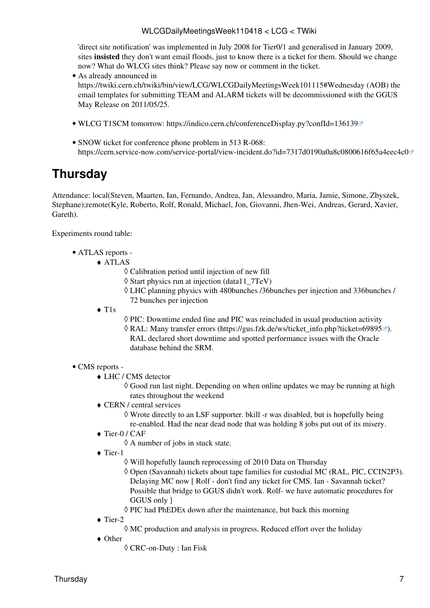'direct site notification' was implemented in July 2008 for Tier0/1 and generalised in January 2009, sites **insisted** they don't want email floods, just to know there is a ticket for them. Should we change now? What do WLCG sites think? Please say now or comment in the ticket.

- As already announced in <https://twiki.cern.ch/twiki/bin/view/LCG/WLCGDailyMeetingsWeek101115#Wednesday>(AOB) the email templates for submitting TEAM and ALARM tickets will be decommissioned with the GGUS May Release on 2011/05/25.
- WLCG [T1SCM](https://twiki.cern.ch/twiki/bin/edit/LCG/T1SCM?topicparent=LCG.WLCGDailyMeetingsWeek110418;nowysiwyg=1) tomorrow:<https://indico.cern.ch/conferenceDisplay.py?confId=136139>
- SNOW ticket for conference phone problem in 513 R-068: <https://cern.service-now.com/service-portal/view-incident.do?id=7317d0190a0a8c0800616f65a4eec4c0>

# <span id="page-7-0"></span>**Thursday**

Attendance: local(Steven, Maarten, Ian, Fernando, Andrea, Jan, Alessandro, Maria, Jamie, Simone, Zbyszek, Stephane);remote(Kyle, Roberto, Rolf, Ronald, Michael, Jon, Giovanni, Jhen-Wei, Andreas, Gerard, Xavier, Gareth).

Experiments round table:

- ATLAS [reports](https://twiki.cern.ch/twiki/bin/view/Atlas/ADCOperationsDailyReports)  •
	- ATLAS ♦
		- ◊ Calibration period until injection of new fill
		- $\Diamond$  Start physics run at injection (data11  $7TeV$ )
		- LHC planning physics with 480bunches /36bunches per injection and 336bunches / ◊ 72 bunches per injection
		- T1s ♦
- ◊ PIC: Downtime ended fine and PIC was reincluded in usual production activity
- ◊ [RAL](https://twiki.cern.ch/twiki/bin/view/LCG/RAL): Many transfer errors ([https://gus.fzk.de/ws/ticket\\_info.php?ticket=69895](https://gus.fzk.de/ws/ticket_info.php?ticket=69895)ø). [RAL](https://twiki.cern.ch/twiki/bin/view/LCG/RAL) declared short downtime and spotted performance issues with the Oracle database behind the SRM.

### • CMS [reports](https://twiki.cern.ch/twiki/bin/view/CMS/FacOps_WLCGdailyreports) -

LHC / CMS detector ♦

Good run last night. Depending on when online updates we may be running at high ◊ rates throughout the weekend

CERN / central services ♦

Wrote directly to an [LSF](https://twiki.cern.ch/twiki/bin/view/LCG/LSF) supporter. bkill -r was disabled, but is hopefully being ◊ re-enabled. Had the near dead node that was holding 8 jobs put out of its misery.

- ◆ Tier-0 / CAF
	- ◊ A number of jobs in stuck state.
- ◆ Tier-1
	- ◊ Will hopefully launch reprocessing of 2010 Data on Thursday
	- Open (Savannah) tickets about tape families for custodial MC ([RAL,](https://twiki.cern.ch/twiki/bin/view/LCG/RAL) PIC, [CCIN2P3](https://twiki.cern.ch/twiki/bin/edit/LCG/CCIN2P3?topicparent=LCG.WLCGDailyMeetingsWeek110418;nowysiwyg=1)). ◊ Delaying MC now [ Rolf - don't find any ticket for CMS. Ian - Savannah ticket? Possible that bridge to GGUS didn't work. Rolf- we have automatic procedures for GGUS only ]
	- ◊ PIC had [PhEDEx](https://twiki.cern.ch/twiki/bin/view/LCG/PhEDEx) down after the maintenance, but back this morning
- ◆ Tier-2
	- $\Diamond$  MC production and analysis in progress. Reduced effort over the holiday
- Other ♦
	- ◊ CRC-on-Duty : Ian Fisk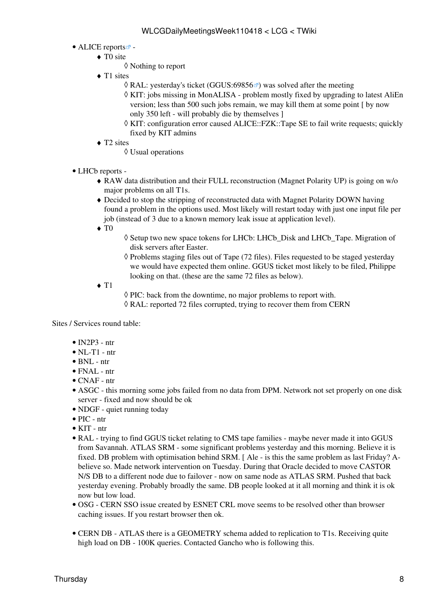## • ALICE [reports](http://alien2.cern.ch/index.php?option=com_content&view=article&id=75&Itemid=129)<sup>2</sup> -

- ◆ TO site
	- ◊ Nothing to report
- ◆ T1 sites
	- $\Diamond$  [RAL](https://twiki.cern.ch/twiki/bin/view/LCG/RAL): vesterday's ticket ([GGUS:69856](https://ggus.eu/ws/ticket_info.php?ticket=69856) $\degree$ ) was solved after the meeting
	- KIT: jobs missing in [MonALISA](https://twiki.cern.ch/twiki/bin/edit/LCG/MonALISA?topicparent=LCG.WLCGDailyMeetingsWeek110418;nowysiwyg=1)  problem mostly fixed by upgrading to latest [AliEn](https://twiki.cern.ch/twiki/bin/edit/LCG/AliEn?topicparent=LCG.WLCGDailyMeetingsWeek110418;nowysiwyg=1) ◊ version; less than 500 such jobs remain, we may kill them at some point [ by now only 350 left - will probably die by themselves ]
	- KIT: configuration error caused ALICE::FZK::Tape SE to fail write requests; quickly ◊ fixed by KIT admins
- ◆ T2 sites
	- ◊ Usual operations
- LHCb [reports](https://twiki.cern.ch/twiki/bin/view/LHCb/ProductionOperationsWLCGdailyReports) -
	- RAW data distribution and their FULL reconstruction (Magnet Polarity UP) is going on w/o ♦ major problems on all T1s.
	- Decided to stop the stripping of reconstructed data with Magnet Polarity DOWN having ♦ found a problem in the options used. Most likely will restart today with just one input file per job (instead of 3 due to a known memory leak issue at application level).
	- $\blacklozenge$  T<sub>0</sub>
- ◊ Setup two new space tokens for LHCb: LHCb\_Disk and LHCb\_Tape. Migration of disk servers after Easter.
- ◊ Problems staging files out of Tape (72 files). Files requested to be staged yesterday we would have expected them online. GGUS ticket most likely to be filed, Philippe looking on that. (these are the same 72 files as below).
- $\blacklozenge$  T<sub>1</sub>

◊ PIC: back from the downtime, no major problems to report with.  $\Diamond$  [RAL](https://twiki.cern.ch/twiki/bin/view/LCG/RAL): reported 72 files corrupted, trying to recover them from CERN

Sites / Services round table:

- $\bullet$  [IN2P3](https://twiki.cern.ch/twiki/bin/view/LCG/IN2P3)  ntr
- $\bullet$  NL-T1 ntr
- $\bullet$  BNL ntr
- $\bullet$  FNAL ntr
- CNAF ntr
- ASGC this morning some jobs failed from no data from DPM. Network not set properly on one disk server - fixed and now should be ok
- NDGF quiet running today
- PIC ntr
- KIT ntr
- [RAL](https://twiki.cern.ch/twiki/bin/view/LCG/RAL) trying to find GGUS ticket relating to CMS tape families maybe never made it into GGUS from Savannah. ATLAS SRM - some significant problems yesterday and this morning. Believe it is fixed. DB problem with optimisation behind SRM. [ Ale - is this the same problem as last Friday? Abelieve so. Made network intervention on Tuesday. During that Oracle decided to move CASTOR N/S DB to a different node due to failover - now on same node as ATLAS SRM. Pushed that back yesterday evening. Probably broadly the same. DB people looked at it all morning and think it is ok now but low load.
- OSG CERN SSO issue created by ESNET CRL move seems to be resolved other than browser caching issues. If you restart browser then ok.
- CERN DB ATLAS there is a GEOMETRY schema added to replication to T1s. Receiving quite high load on DB - 100K queries. Contacted Gancho who is following this.